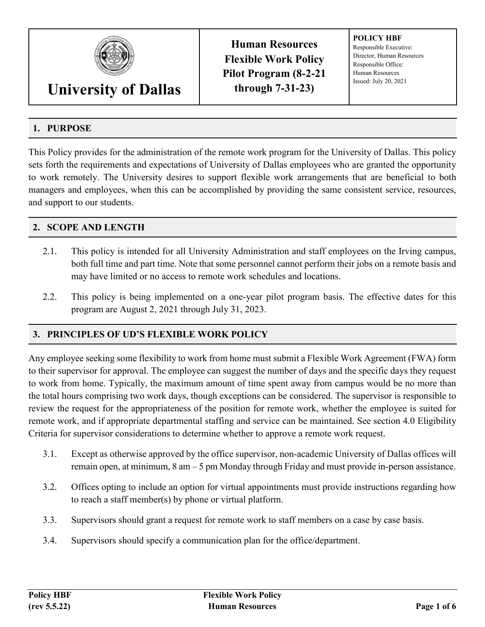

# **University of Dallas**

**Human Resources Flexible Work Policy Pilot Program (8-2-21 through 7-31-23)**

**POLICY HBF** Responsible Executive: Director, Human Resources Responsible Office: Human Resources Issued: July 20, 2021

# **1. PURPOSE**

This Policy provides for the administration of the remote work program for the University of Dallas. This policy sets forth the requirements and expectations of University of Dallas employees who are granted the opportunity to work remotely. The University desires to support flexible work arrangements that are beneficial to both managers and employees, when this can be accomplished by providing the same consistent service, resources, and support to our students.

#### **2. SCOPE AND LENGTH**

- 2.1. This policy is intended for all University Administration and staff employees on the Irving campus, both full time and part time. Note that some personnel cannot perform their jobs on a remote basis and may have limited or no access to remote work schedules and locations.
- 2.2. This policy is being implemented on a one-year pilot program basis. The effective dates for this program are August 2, 2021 through July 31, 2023.

## **3. PRINCIPLES OF UD'S FLEXIBLE WORK POLICY**

Any employee seeking some flexibility to work from home must submit a Flexible Work Agreement (FWA) form to their supervisor for approval. The employee can suggest the number of days and the specific days they request to work from home. Typically, the maximum amount of time spent away from campus would be no more than the total hours comprising two work days, though exceptions can be considered. The supervisor is responsible to review the request for the appropriateness of the position for remote work, whether the employee is suited for remote work, and if appropriate departmental staffing and service can be maintained. See section 4.0 Eligibility Criteria for supervisor considerations to determine whether to approve a remote work request.

- 3.1. Except as otherwise approved by the office supervisor, non-academic University of Dallas offices will remain open, at minimum, 8 am – 5 pm Monday through Friday and must provide in-person assistance.
- 3.2. Offices opting to include an option for virtual appointments must provide instructions regarding how to reach a staff member(s) by phone or virtual platform.
- 3.3. Supervisors should grant a request for remote work to staff members on a case by case basis.
- 3.4. Supervisors should specify a communication plan for the office/department.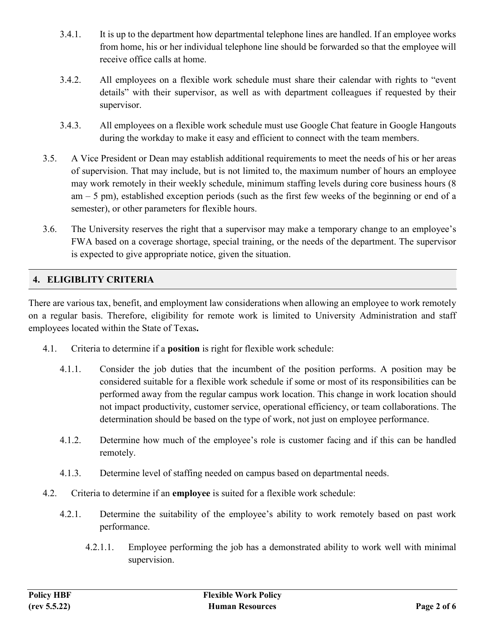- 3.4.1. It is up to the department how departmental telephone lines are handled. If an employee works from home, his or her individual telephone line should be forwarded so that the employee will receive office calls at home.
- 3.4.2. All employees on a flexible work schedule must share their calendar with rights to "event details" with their supervisor, as well as with department colleagues if requested by their supervisor.
- 3.4.3. All employees on a flexible work schedule must use Google Chat feature in Google Hangouts during the workday to make it easy and efficient to connect with the team members.
- 3.5. A Vice President or Dean may establish additional requirements to meet the needs of his or her areas of supervision. That may include, but is not limited to, the maximum number of hours an employee may work remotely in their weekly schedule, minimum staffing levels during core business hours (8 am – 5 pm), established exception periods (such as the first few weeks of the beginning or end of a semester), or other parameters for flexible hours.
- 3.6. The University reserves the right that a supervisor may make a temporary change to an employee's FWA based on a coverage shortage, special training, or the needs of the department. The supervisor is expected to give appropriate notice, given the situation.

#### **4. ELIGIBLITY CRITERIA**

There are various tax, benefit, and employment law considerations when allowing an employee to work remotely on a regular basis. Therefore, eligibility for remote work is limited to University Administration and staff employees located within the State of Texas**.**

- 4.1. Criteria to determine if a **position** is right for flexible work schedule:
	- 4.1.1. Consider the job duties that the incumbent of the position performs. A position may be considered suitable for a flexible work schedule if some or most of its responsibilities can be performed away from the regular campus work location. This change in work location should not impact productivity, customer service, operational efficiency, or team collaborations. The determination should be based on the type of work, not just on employee performance.
	- 4.1.2. Determine how much of the employee's role is customer facing and if this can be handled remotely.
	- 4.1.3. Determine level of staffing needed on campus based on departmental needs.
- 4.2. Criteria to determine if an **employee** is suited for a flexible work schedule:
	- 4.2.1. Determine the suitability of the employee's ability to work remotely based on past work performance.
		- 4.2.1.1. Employee performing the job has a demonstrated ability to work well with minimal supervision.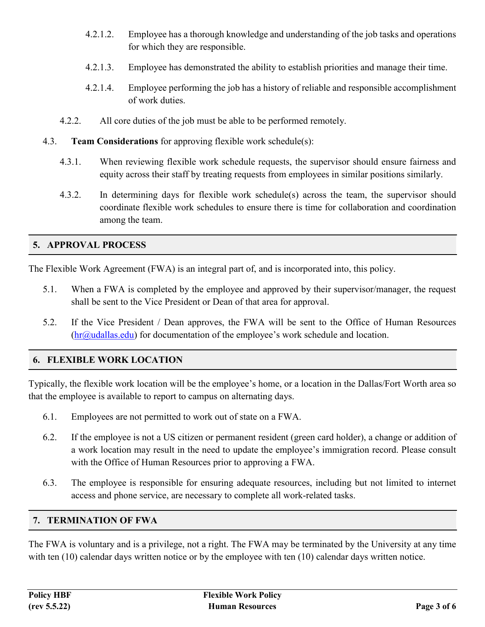- 4.2.1.2. Employee has a thorough knowledge and understanding of the job tasks and operations for which they are responsible.
- 4.2.1.3. Employee has demonstrated the ability to establish priorities and manage their time.
- 4.2.1.4. Employee performing the job has a history of reliable and responsible accomplishment of work duties.
- 4.2.2. All core duties of the job must be able to be performed remotely.
- 4.3. **Team Considerations** for approving flexible work schedule(s):
	- 4.3.1. When reviewing flexible work schedule requests, the supervisor should ensure fairness and equity across their staff by treating requests from employees in similar positions similarly.
	- 4.3.2. In determining days for flexible work schedule(s) across the team, the supervisor should coordinate flexible work schedules to ensure there is time for collaboration and coordination among the team.

# **5. APPROVAL PROCESS**

The Flexible Work Agreement (FWA) is an integral part of, and is incorporated into, this policy.

- 5.1. When a FWA is completed by the employee and approved by their supervisor/manager, the request shall be sent to the Vice President or Dean of that area for approval.
- 5.2. If the Vice President / Dean approves, the FWA will be sent to the Office of Human Resources  $(hr@udallas.edu)$  for documentation of the employee's work schedule and location.

## **6. FLEXIBLE WORK LOCATION**

Typically, the flexible work location will be the employee's home, or a location in the Dallas/Fort Worth area so that the employee is available to report to campus on alternating days.

- 6.1. Employees are not permitted to work out of state on a FWA.
- 6.2. If the employee is not a US citizen or permanent resident (green card holder), a change or addition of a work location may result in the need to update the employee's immigration record. Please consult with the Office of Human Resources prior to approving a FWA.
- 6.3. The employee is responsible for ensuring adequate resources, including but not limited to internet access and phone service, are necessary to complete all work-related tasks.

## **7. TERMINATION OF FWA**

The FWA is voluntary and is a privilege, not a right. The FWA may be terminated by the University at any time with ten (10) calendar days written notice or by the employee with ten (10) calendar days written notice.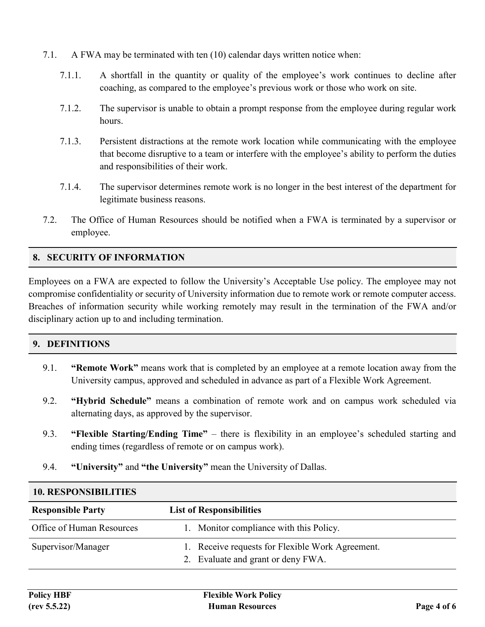- 7.1. A FWA may be terminated with ten (10) calendar days written notice when:
	- 7.1.1. A shortfall in the quantity or quality of the employee's work continues to decline after coaching, as compared to the employee's previous work or those who work on site.
	- 7.1.2. The supervisor is unable to obtain a prompt response from the employee during regular work hours.
	- 7.1.3. Persistent distractions at the remote work location while communicating with the employee that become disruptive to a team or interfere with the employee's ability to perform the duties and responsibilities of their work.
	- 7.1.4. The supervisor determines remote work is no longer in the best interest of the department for legitimate business reasons.
- 7.2. The Office of Human Resources should be notified when a FWA is terminated by a supervisor or employee.

## **8. SECURITY OF INFORMATION**

Employees on a FWA are expected to follow the University's Acceptable Use policy. The employee may not compromise confidentiality or security of University information due to remote work or remote computer access. Breaches of information security while working remotely may result in the termination of the FWA and/or disciplinary action up to and including termination.

#### **9. DEFINITIONS**

- 9.1. **"Remote Work"** means work that is completed by an employee at a remote location away from the University campus, approved and scheduled in advance as part of a Flexible Work Agreement.
- 9.2. **"Hybrid Schedule"** means a combination of remote work and on campus work scheduled via alternating days, as approved by the supervisor.
- 9.3. **"Flexible Starting/Ending Time"** there is flexibility in an employee's scheduled starting and ending times (regardless of remote or on campus work).
- 9.4. **"University"** and **"the University"** mean the University of Dallas.

| <b>IV. RESPUNSIBILITIES</b> |                                                                                        |  |  |  |
|-----------------------------|----------------------------------------------------------------------------------------|--|--|--|
| <b>Responsible Party</b>    | <b>List of Responsibilities</b>                                                        |  |  |  |
| Office of Human Resources   | 1. Monitor compliance with this Policy.                                                |  |  |  |
| Supervisor/Manager          | 1. Receive requests for Flexible Work Agreement.<br>2. Evaluate and grant or deny FWA. |  |  |  |

#### **10. RESPONSIBILITIES**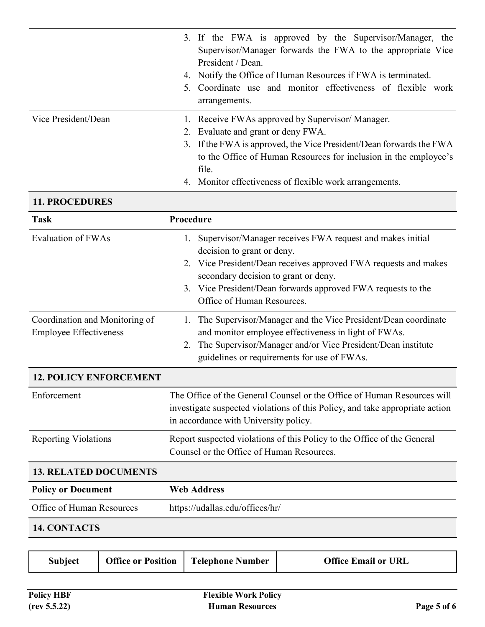|                     | 3. If the FWA is approved by the Supervisor/Manager, the<br>Supervisor/Manager forwards the FWA to the appropriate Vice<br>President / Dean.<br>4. Notify the Office of Human Resources if FWA is terminated.<br>5. Coordinate use and monitor effectiveness of flexible work<br>arrangements.       |  |
|---------------------|------------------------------------------------------------------------------------------------------------------------------------------------------------------------------------------------------------------------------------------------------------------------------------------------------|--|
| Vice President/Dean | 1. Receive FWAs approved by Supervisor/Manager.<br>2. Evaluate and grant or deny FWA.<br>3. If the FWA is approved, the Vice President/Dean forwards the FWA<br>to the Office of Human Resources for inclusion in the employee's<br>file.<br>4. Monitor effectiveness of flexible work arrangements. |  |

#### **11. PROCEDURES**

| <b>Task</b>                                                     | Procedure                                                                                                                                                                                                                                                                                           |  |  |
|-----------------------------------------------------------------|-----------------------------------------------------------------------------------------------------------------------------------------------------------------------------------------------------------------------------------------------------------------------------------------------------|--|--|
| <b>Evaluation of FWAs</b>                                       | 1. Supervisor/Manager receives FWA request and makes initial<br>decision to grant or deny.<br>2. Vice President/Dean receives approved FWA requests and makes<br>secondary decision to grant or deny.<br>3. Vice President/Dean forwards approved FWA requests to the<br>Office of Human Resources. |  |  |
| Coordination and Monitoring of<br><b>Employee Effectiveness</b> | The Supervisor/Manager and the Vice President/Dean coordinate<br>1.<br>and monitor employee effectiveness in light of FWAs.<br>The Supervisor/Manager and/or Vice President/Dean institute<br>2.<br>guidelines or requirements for use of FWAs.                                                     |  |  |
| <b>12. POLICY ENFORCEMENT</b>                                   |                                                                                                                                                                                                                                                                                                     |  |  |
| Enforcement                                                     | The Office of the General Counsel or the Office of Human Resources will<br>investigate suspected violations of this Policy, and take appropriate action<br>in accordance with University policy.                                                                                                    |  |  |
| <b>Reporting Violations</b>                                     | Report suspected violations of this Policy to the Office of the General<br>Counsel or the Office of Human Resources.                                                                                                                                                                                |  |  |
| <b>13. RELATED DOCUMENTS</b>                                    |                                                                                                                                                                                                                                                                                                     |  |  |
| <b>Policy or Document</b>                                       | <b>Web Address</b>                                                                                                                                                                                                                                                                                  |  |  |
| Office of Human Resources                                       | https://udallas.edu/offices/hr/                                                                                                                                                                                                                                                                     |  |  |

#### **14. CONTACTS**

| Subject | <b>Office or Position</b> | <b>Telephone Number</b> | <b>Office Email or URL</b> |
|---------|---------------------------|-------------------------|----------------------------|
|---------|---------------------------|-------------------------|----------------------------|